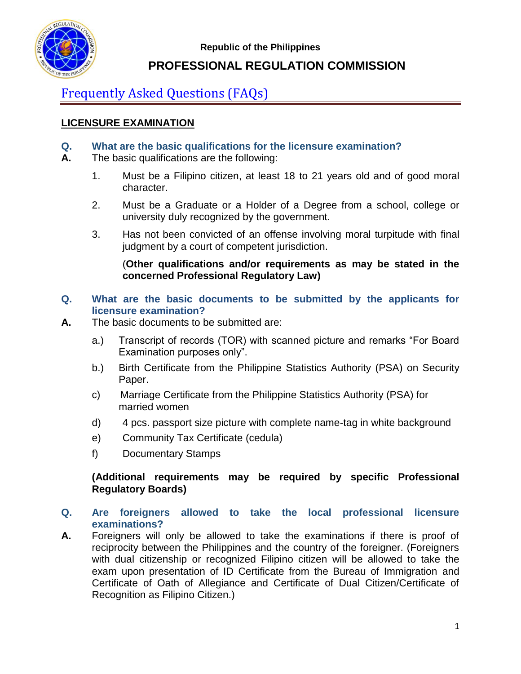

## **PROFESSIONAL REGULATION COMMISSION**

# Frequently Asked Questions (FAQs)

#### **LICENSURE EXAMINATION**

- **Q. What are the basic qualifications for the licensure examination?**
- **A.** The basic qualifications are the following:
	- 1. Must be a Filipino citizen, at least 18 to 21 years old and of good moral character.
	- 2. Must be a Graduate or a Holder of a Degree from a school, college or university duly recognized by the government.
	- 3. Has not been convicted of an offense involving moral turpitude with final judgment by a court of competent jurisdiction.

#### (**Other qualifications and/or requirements as may be stated in the concerned Professional Regulatory Law)**

- **Q. What are the basic documents to be submitted by the applicants for licensure examination?**
- **A.** The basic documents to be submitted are:
	- a.) Transcript of records (TOR) with scanned picture and remarks "For Board Examination purposes only".
	- b.) Birth Certificate from the Philippine Statistics Authority (PSA) on Security Paper.
	- c) Marriage Certificate from the Philippine Statistics Authority (PSA) for married women
	- d) 4 pcs. passport size picture with complete name-tag in white background
	- e) Community Tax Certificate (cedula)
	- f) Documentary Stamps

#### **(Additional requirements may be required by specific Professional Regulatory Boards)**

#### **Q. Are foreigners allowed to take the local professional licensure examinations?**

**A.** Foreigners will only be allowed to take the examinations if there is proof of reciprocity between the Philippines and the country of the foreigner. (Foreigners with dual citizenship or recognized Filipino citizen will be allowed to take the exam upon presentation of ID Certificate from the Bureau of Immigration and Certificate of Oath of Allegiance and Certificate of Dual Citizen/Certificate of Recognition as Filipino Citizen.)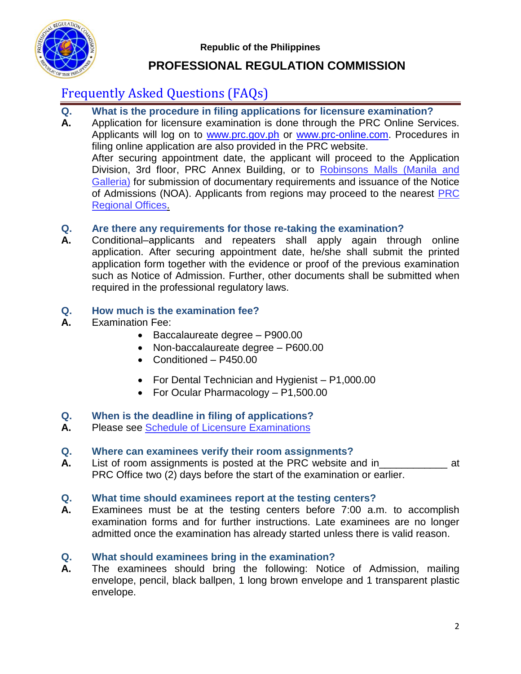

## **PROFESSIONAL REGULATION COMMISSION**

# Frequently Asked Questions (FAQs)

- **Q. What is the procedure in filing applications for licensure examination?**
- **A.** Application for licensure examination is done through the PRC Online Services. Applicants will log on to [www.prc.gov.ph](http://www.prc.gov.ph/) or [www.prc-online.com.](http://www.prc-online.com/) Procedures in filing online application are also provided in the PRC website. After securing appointment date, the applicant will proceed to the Application Division, 3rd floor, PRC Annex Building, or to Robinsons Malls (Manila and Galleria) for submission of documentary requirements and issuance of the Notice of Admissions (NOA). Applicants from regions may proceed to the nearest PRC Regional Offices.

#### **Q. Are there any requirements for those re-taking the examination?**

**A.** Conditional–applicants and repeaters shall apply again through online application. After securing appointment date, he/she shall submit the printed application form together with the evidence or proof of the previous examination such as Notice of Admission. Further, other documents shall be submitted when required in the professional regulatory laws.

#### **Q. How much is the examination fee?**

- **A.** Examination Fee:
	- Baccalaureate degree P900.00
	- Non-baccalaureate degree P600.00
	- Conditioned P450.00
	- For Dental Technician and Hygienist P1,000.00
	- For Ocular Pharmacology P1,500.00

#### **Q. When is the deadline in filing of applications?**

**A.** Please see Schedule of Licensure Examinations

#### **Q. Where can examinees verify their room assignments?**

**A.** List of room assignments is posted at the PRC website and in\_\_\_\_\_\_\_\_\_\_\_\_ at PRC Office two (2) days before the start of the examination or earlier.

#### **Q. What time should examinees report at the testing centers?**

**A.** Examinees must be at the testing centers before 7:00 a.m. to accomplish examination forms and for further instructions. Late examinees are no longer admitted once the examination has already started unless there is valid reason.

#### **Q. What should examinees bring in the examination?**

**A.** The examinees should bring the following: Notice of Admission, mailing envelope, pencil, black ballpen, 1 long brown envelope and 1 transparent plastic envelope.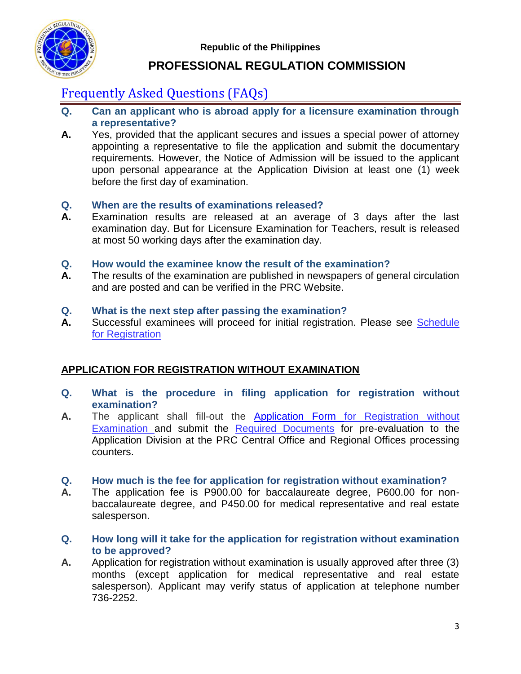

## **PROFESSIONAL REGULATION COMMISSION**

# Frequently Asked Questions (FAQs)

- **Q. Can an applicant who is abroad apply for a licensure examination through a representative?**
- **A.** Yes, provided that the applicant secures and issues a special power of attorney appointing a representative to file the application and submit the documentary requirements. However, the Notice of Admission will be issued to the applicant upon personal appearance at the Application Division at least one (1) week before the first day of examination.

#### **Q. When are the results of examinations released?**

**A.** Examination results are released at an average of 3 days after the last examination day. But for Licensure Examination for Teachers, result is released at most 50 working days after the examination day.

#### **Q. How would the examinee know the result of the examination?**

**A.** The results of the examination are published in newspapers of general circulation and are posted and can be verified in the PRC Website.

#### **Q. What is the next step after passing the examination?**

**A.** Successful examinees will proceed for initial registration. Please see Schedule for Registration

#### **APPLICATION FOR REGISTRATION WITHOUT EXAMINATION**

- **Q. What is the procedure in filing application for registration without examination?**
- **A.** The applicant shall fill-out the [Application Form f](http://www.prc.gov.ph/)or Registration without Examination and submit the Required Documents for pre-evaluation to the Application Division at the PRC Central Office and Regional Offices processing counters.

#### **Q. How much is the fee for application for registration without examination?**

- **A.** The application fee is P900.00 for baccalaureate degree, P600.00 for nonbaccalaureate degree, and P450.00 for medical representative and real estate salesperson.
- **Q. How long will it take for the application for registration without examination to be approved?**
- **A.** Application for registration without examination is usually approved after three (3) months (except application for medical representative and real estate salesperson). Applicant may verify status of application at telephone number 736-2252.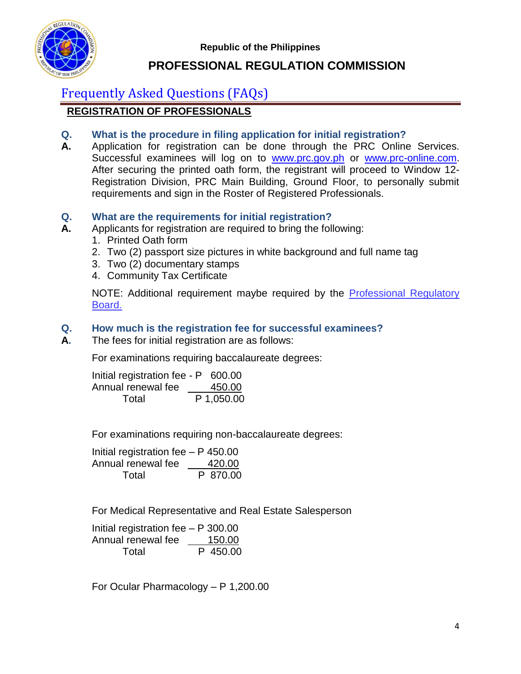

## **PROFESSIONAL REGULATION COMMISSION**

## Frequently Asked Questions (FAQs)

### **REGISTRATION OF PROFESSIONALS**

- **Q. What is the procedure in filing application for initial registration?**
- **A.** Application for registration can be done through the PRC Online Services. Successful examinees will log on to [www.prc.gov.ph](http://www.prc.gov.ph/) or [www.prc-online.com.](http://www.prc-online.com/) After securing the printed oath form, the registrant will proceed to Window 12- Registration Division, PRC Main Building, Ground Floor, to personally submit requirements and sign in the Roster of Registered Professionals.

#### **Q. What are the requirements for initial registration?**

- **A.** Applicants for registration are required to bring the following:
	- 1. Printed Oath form
	- 2. Two (2) passport size pictures in white background and full name tag
	- 3. Two (2) documentary stamps
	- 4. Community Tax Certificate

NOTE: Additional requirement maybe required by the Professional Regulatory Board.

#### **Q. How much is the registration fee for successful examinees?**

**A.** The fees for initial registration are as follows:

For examinations requiring baccalaureate degrees:

Initial registration fee - P 600.00 Annual renewal fee 450.00 Total P 1,050.00

For examinations requiring non-baccalaureate degrees:

Initial registration fee – P 450.00 Annual renewal fee 420.00 Total P 870.00

For Medical Representative and Real Estate Salesperson

Initial registration fee – P 300.00 Annual renewal fee 150.00 Total P 450.00

For Ocular Pharmacology – P 1,200.00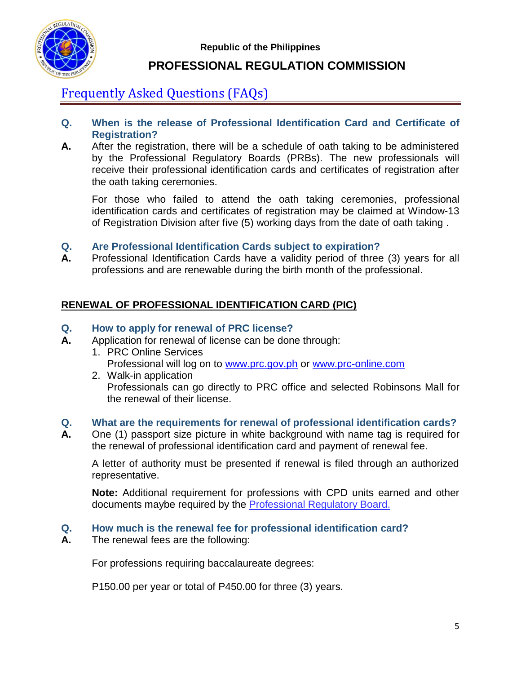**PFGULATIC** 

**Republic of the Philippines**

## **PROFESSIONAL REGULATION COMMISSION**

## Frequently Asked Questions (FAQs)

- **Q. When is the release of Professional Identification Card and Certificate of Registration?**
- **A.** After the registration, there will be a schedule of oath taking to be administered by the Professional Regulatory Boards (PRBs). The new professionals will receive their professional identification cards and certificates of registration after the oath taking ceremonies.

For those who failed to attend the oath taking ceremonies, professional identification cards and certificates of registration may be claimed at Window-13 of Registration Division after five (5) working days from the date of oath taking .

#### **Q. Are Professional Identification Cards subject to expiration?**

**A.** Professional Identification Cards have a validity period of three (3) years for all professions and are renewable during the birth month of the professional.

#### **RENEWAL OF PROFESSIONAL IDENTIFICATION CARD (PIC)**

#### **Q. How to apply for renewal of PRC license?**

- **A.** Application for renewal of license can be done through:
	- 1. PRC Online Services Professional will log on to [www.prc.gov.ph](http://www.prc.gov.ph/) or [www.prc-online.com](http://www.prc-online.com/)
	- 2. Walk-in application Professionals can go directly to PRC office and selected Robinsons Mall for the renewal of their license.

#### **Q. What are the requirements for renewal of professional identification cards?**

**A.** One (1) passport size picture in white background with name tag is required for the renewal of professional identification card and payment of renewal fee.

A letter of authority must be presented if renewal is filed through an authorized representative.

**Note:** Additional requirement for professions with CPD units earned and other documents maybe required by the **Professional Regulatory Board.** 

#### **Q. How much is the renewal fee for professional identification card?**

**A.** The renewal fees are the following:

For professions requiring baccalaureate degrees:

P150.00 per year or total of P450.00 for three (3) years.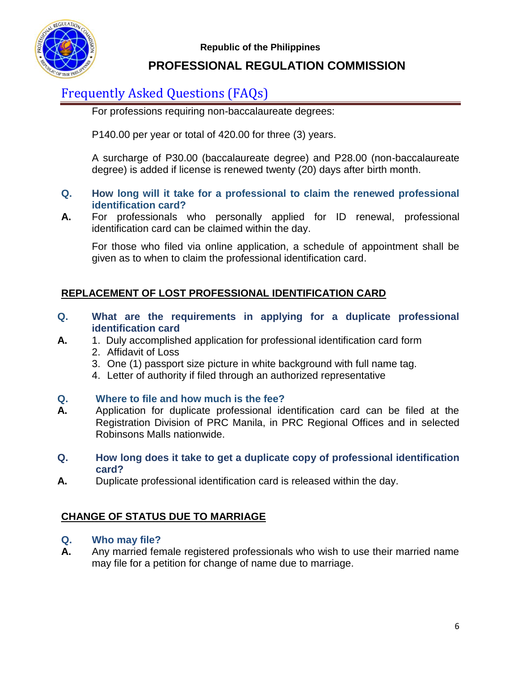

## **PROFESSIONAL REGULATION COMMISSION**

## Frequently Asked Questions (FAQs)

For professions requiring non-baccalaureate degrees:

P140.00 per year or total of 420.00 for three (3) years.

A surcharge of P30.00 (baccalaureate degree) and P28.00 (non-baccalaureate degree) is added if license is renewed twenty (20) days after birth month.

#### **Q. How long will it take for a professional to claim the renewed professional identification card?**

**A.** For professionals who personally applied for ID renewal, professional identification card can be claimed within the day.

For those who filed via online application, a schedule of appointment shall be given as to when to claim the professional identification card.

#### **REPLACEMENT OF LOST PROFESSIONAL IDENTIFICATION CARD**

- **Q. What are the requirements in applying for a duplicate professional identification card**
- A. 1. Duly accomplished application for professional identification card form
	- 2. Affidavit of Loss
	- 3. One (1) passport size picture in white background with full name tag.
	- 4. Letter of authority if filed through an authorized representative

#### **Q. Where to file and how much is the fee?**

- **A.** Application for duplicate professional identification card can be filed at the Registration Division of PRC Manila, in PRC Regional Offices and in selected Robinsons Malls nationwide.
- **Q. How long does it take to get a duplicate copy of professional identification card?**
- **A.** Duplicate professional identification card is released within the day.

#### **CHANGE OF STATUS DUE TO MARRIAGE**

- **Q. Who may file?**
- **A.** Any married female registered professionals who wish to use their married name may file for a petition for change of name due to marriage.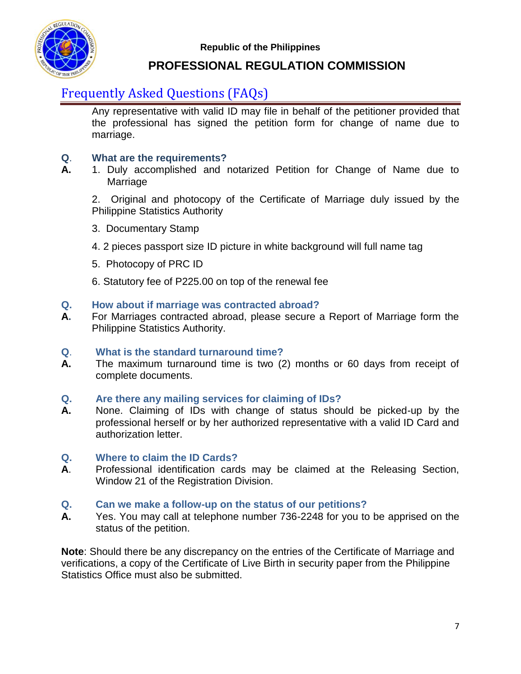

## **PROFESSIONAL REGULATION COMMISSION**

## Frequently Asked Questions (FAQs)

Any representative with valid ID may file in behalf of the petitioner provided that the professional has signed the petition form for change of name due to marriage.

#### **Q**. **What are the requirements?**

**A.** 1. Duly accomplished and notarized Petition for Change of Name due to Marriage

2. Original and photocopy of the Certificate of Marriage duly issued by the Philippine Statistics Authority

- 3. Documentary Stamp
- 4. 2 pieces passport size ID picture in white background will full name tag
- 5. Photocopy of PRC ID
- 6. Statutory fee of P225.00 on top of the renewal fee

#### **Q. How about if marriage was contracted abroad?**

**A.** For Marriages contracted abroad, please secure a Report of Marriage form the Philippine Statistics Authority.

#### **Q**. **What is the standard turnaround time?**

**A.** The maximum turnaround time is two (2) months or 60 days from receipt of complete documents.

#### **Q. Are there any mailing services for claiming of IDs?**

**A.** None. Claiming of IDs with change of status should be picked-up by the professional herself or by her authorized representative with a valid ID Card and authorization letter.

#### **Q. Where to claim the ID Cards?**

**A**. Professional identification cards may be claimed at the Releasing Section, Window 21 of the Registration Division.

#### **Q. Can we make a follow-up on the status of our petitions?**

**A.** Yes. You may call at telephone number 736-2248 for you to be apprised on the status of the petition.

**Note**: Should there be any discrepancy on the entries of the Certificate of Marriage and verifications, a copy of the Certificate of Live Birth in security paper from the Philippine Statistics Office must also be submitted.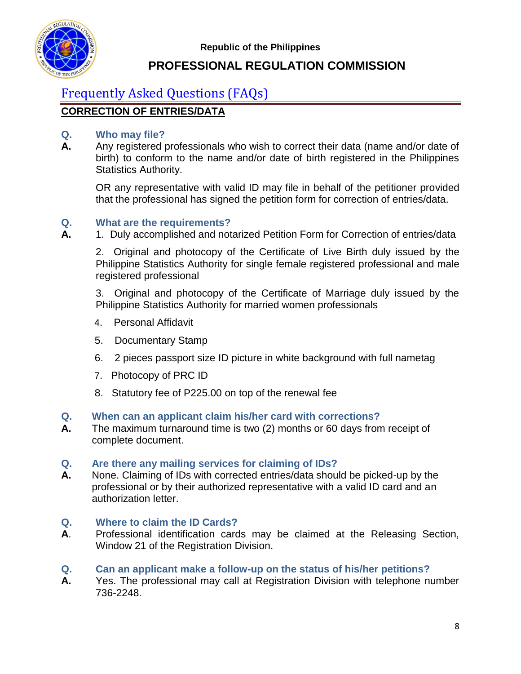

## **PROFESSIONAL REGULATION COMMISSION**

# Frequently Asked Questions (FAQs)

### **CORRECTION OF ENTRIES/DATA**

#### **Q. Who may file?**

**A.** Any registered professionals who wish to correct their data (name and/or date of birth) to conform to the name and/or date of birth registered in the Philippines Statistics Authority.

OR any representative with valid ID may file in behalf of the petitioner provided that the professional has signed the petition form for correction of entries/data.

#### **Q. What are the requirements?**

A. 1. Duly accomplished and notarized Petition Form for Correction of entries/data

2. Original and photocopy of the Certificate of Live Birth duly issued by the Philippine Statistics Authority for single female registered professional and male registered professional

3. Original and photocopy of the Certificate of Marriage duly issued by the Philippine Statistics Authority for married women professionals

- 4. Personal Affidavit
- 5. Documentary Stamp
- 6. 2 pieces passport size ID picture in white background with full nametag
- 7. Photocopy of PRC ID
- 8. Statutory fee of P225.00 on top of the renewal fee

#### **Q. When can an applicant claim his/her card with corrections?**

**A.** The maximum turnaround time is two (2) months or 60 days from receipt of complete document.

#### **Q. Are there any mailing services for claiming of IDs?**

**A.** None. Claiming of IDs with corrected entries/data should be picked-up by the professional or by their authorized representative with a valid ID card and an authorization letter.

#### **Q. Where to claim the ID Cards?**

- **A**. Professional identification cards may be claimed at the Releasing Section, Window 21 of the Registration Division.
- **Q. Can an applicant make a follow-up on the status of his/her petitions?**
- **A.** Yes. The professional may call at Registration Division with telephone number 736-2248.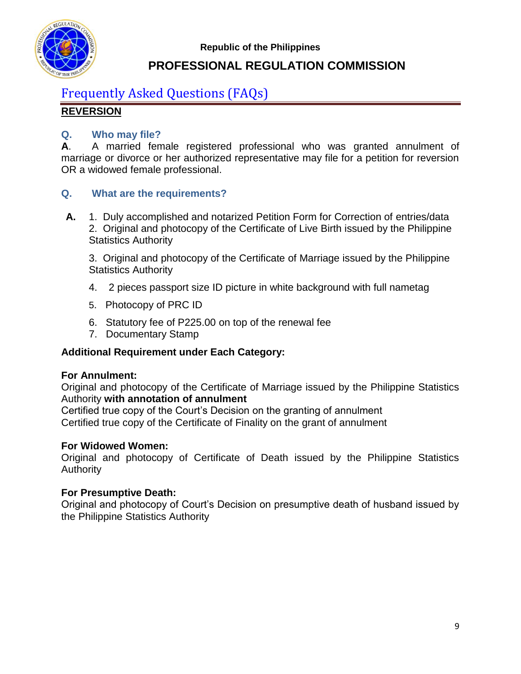

## **PROFESSIONAL REGULATION COMMISSION**

## Frequently Asked Questions (FAQs)

### **REVERSION**

#### **Q. Who may file?**

**A**. A married female registered professional who was granted annulment of marriage or divorce or her authorized representative may file for a petition for reversion OR a widowed female professional.

#### **Q. What are the requirements?**

**A.** 1. Duly accomplished and notarized Petition Form for Correction of entries/data 2. Original and photocopy of the Certificate of Live Birth issued by the Philippine Statistics Authority

3. Original and photocopy of the Certificate of Marriage issued by the Philippine Statistics Authority

- 4. 2 pieces passport size ID picture in white background with full nametag
- 5. Photocopy of PRC ID
- 6. Statutory fee of P225.00 on top of the renewal fee
- 7. Documentary Stamp

#### **Additional Requirement under Each Category:**

#### **For Annulment:**

Original and photocopy of the Certificate of Marriage issued by the Philippine Statistics Authority **with annotation of annulment**

Certified true copy of the Court's Decision on the granting of annulment Certified true copy of the Certificate of Finality on the grant of annulment

#### **For Widowed Women:**

Original and photocopy of Certificate of Death issued by the Philippine Statistics **Authority** 

#### **For Presumptive Death:**

Original and photocopy of Court's Decision on presumptive death of husband issued by the Philippine Statistics Authority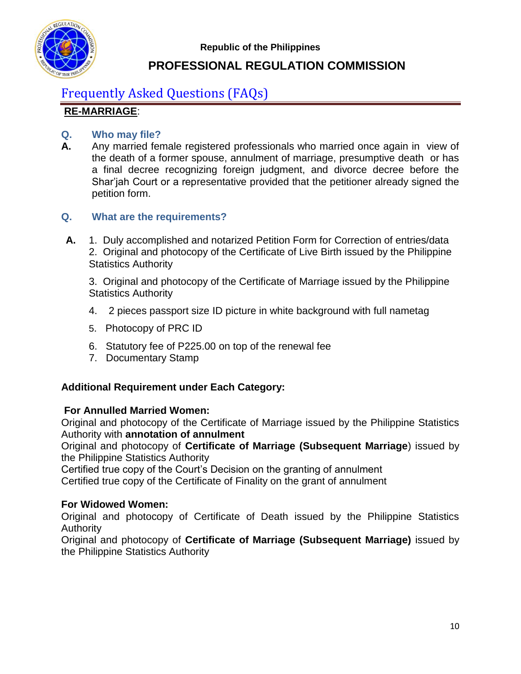

## **PROFESSIONAL REGULATION COMMISSION**

## Frequently Asked Questions (FAQs)

### **RE-MARRIAGE**:

#### **Q. Who may file?**

**A.** Any married female registered professionals who married once again in view of the death of a former spouse, annulment of marriage, presumptive death or has a final decree recognizing foreign judgment, and divorce decree before the Shar'jah Court or a representative provided that the petitioner already signed the petition form.

#### **Q. What are the requirements?**

**A.** 1. Duly accomplished and notarized Petition Form for Correction of entries/data 2. Original and photocopy of the Certificate of Live Birth issued by the Philippine Statistics Authority

3. Original and photocopy of the Certificate of Marriage issued by the Philippine Statistics Authority

- 4. 2 pieces passport size ID picture in white background with full nametag
- 5. Photocopy of PRC ID
- 6. Statutory fee of P225.00 on top of the renewal fee
- 7. Documentary Stamp

#### **Additional Requirement under Each Category:**

#### **For Annulled Married Women:**

Original and photocopy of the Certificate of Marriage issued by the Philippine Statistics Authority with **annotation of annulment**

Original and photocopy of **Certificate of Marriage (Subsequent Marriage**) issued by the Philippine Statistics Authority

Certified true copy of the Court's Decision on the granting of annulment

Certified true copy of the Certificate of Finality on the grant of annulment

#### **For Widowed Women:**

Original and photocopy of Certificate of Death issued by the Philippine Statistics Authority

Original and photocopy of **Certificate of Marriage (Subsequent Marriage)** issued by the Philippine Statistics Authority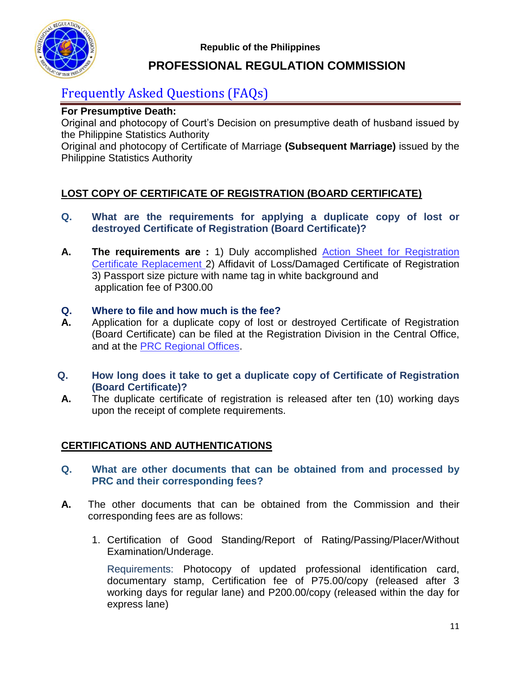

## **PROFESSIONAL REGULATION COMMISSION**

# Frequently Asked Questions (FAQs)

#### **For Presumptive Death:**

Original and photocopy of Court's Decision on presumptive death of husband issued by the Philippine Statistics Authority

Original and photocopy of Certificate of Marriage **(Subsequent Marriage)** issued by the Philippine Statistics Authority

### **LOST COPY OF CERTIFICATE OF REGISTRATION (BOARD CERTIFICATE)**

- **Q. What are the requirements for applying a duplicate copy of lost or destroyed Certificate of Registration (Board Certificate)?**
- **A. The requirements are :** 1) Duly accomplished Action Sheet for Registration Certificate Replacement 2) Affidavit of Loss/Damaged Certificate of Registration 3) Passport size picture with name tag in white background and application fee of P300.00

#### **Q. Where to file and how much is the fee?**

- **A.** Application for a duplicate copy of lost or destroyed Certificate of Registration (Board Certificate) can be filed at the Registration Division in the Central Office, and at the PRC Regional Offices.
- **Q. How long does it take to get a duplicate copy of Certificate of Registration (Board Certificate)?**
- **A.** The duplicate certificate of registration is released after ten (10) working days upon the receipt of complete requirements.

### **CERTIFICATIONS AND AUTHENTICATIONS**

- **Q. What are other documents that can be obtained from and processed by PRC and their corresponding fees?**
- **A.** The other documents that can be obtained from the Commission and their corresponding fees are as follows:
	- 1. Certification of Good Standing/Report of Rating/Passing/Placer/Without Examination/Underage.

Requirements: Photocopy of updated professional identification card, documentary stamp, Certification fee of P75.00/copy (released after 3 working days for regular lane) and P200.00/copy (released within the day for express lane)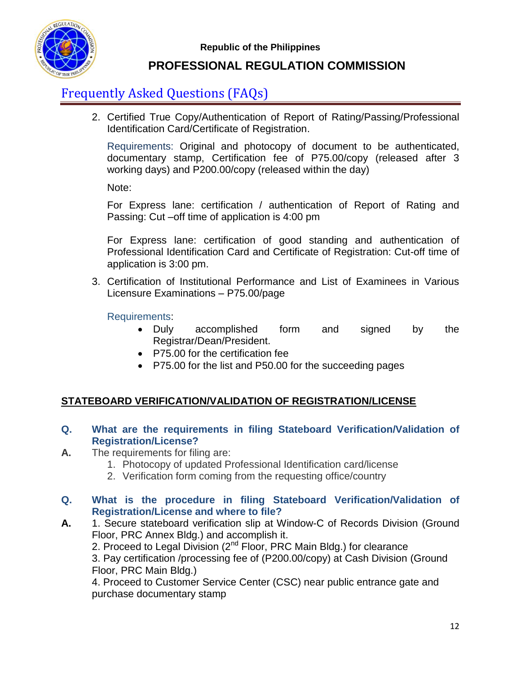

## **PROFESSIONAL REGULATION COMMISSION**

## Frequently Asked Questions (FAQs)

2. Certified True Copy/Authentication of Report of Rating/Passing/Professional Identification Card/Certificate of Registration.

Requirements: Original and photocopy of document to be authenticated, documentary stamp, Certification fee of P75.00/copy (released after 3 working days) and P200.00/copy (released within the day)

Note:

For Express lane: certification / authentication of Report of Rating and Passing: Cut –off time of application is 4:00 pm

For Express lane: certification of good standing and authentication of Professional Identification Card and Certificate of Registration: Cut-off time of application is 3:00 pm.

3. Certification of Institutional Performance and List of Examinees in Various Licensure Examinations – P75.00/page

Requirements:

- Duly accomplished form and signed by the Registrar/Dean/President.
- P75.00 for the certification fee
- P75.00 for the list and P50.00 for the succeeding pages

#### **STATEBOARD VERIFICATION/VALIDATION OF REGISTRATION/LICENSE**

- **Q. What are the requirements in filing Stateboard Verification/Validation of Registration/License?**
- **A.** The requirements for filing are:
	- 1. Photocopy of updated Professional Identification card/license
	- 2. Verification form coming from the requesting office/country

#### **Q. What is the procedure in filing Stateboard Verification/Validation of Registration/License and where to file?**

**A.** 1. Secure stateboard verification slip at Window-C of Records Division (Ground Floor, PRC Annex Bldg.) and accomplish it.

2. Proceed to Legal Division (2<sup>nd</sup> Floor, PRC Main Bldg.) for clearance

3. Pay certification /processing fee of (P200.00/copy) at Cash Division (Ground Floor, PRC Main Bldg.)

4. Proceed to Customer Service Center (CSC) near public entrance gate and purchase documentary stamp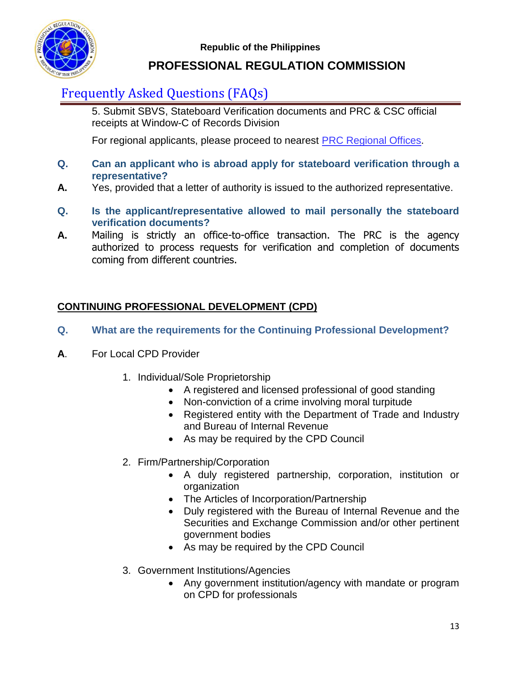

## **PROFESSIONAL REGULATION COMMISSION**

## Frequently Asked Questions (FAQs)

5. Submit SBVS, Stateboard Verification documents and PRC & CSC official receipts at Window-C of Records Division

For regional applicants, please proceed to nearest PRC Regional Offices.

- **Q. Can an applicant who is abroad apply for stateboard verification through a representative?**
- **A.** Yes, provided that a letter of authority is issued to the authorized representative.
- **Q. Is the applicant/representative allowed to mail personally the stateboard verification documents?**
- **A.** Mailing is strictly an office-to-office transaction. The PRC is the agency authorized to process requests for verification and completion of documents coming from different countries.

### **CONTINUING PROFESSIONAL DEVELOPMENT (CPD)**

- **Q. What are the requirements for the Continuing Professional Development?**
- **A**. For Local CPD Provider
	- 1. Individual/Sole Proprietorship
		- A registered and licensed professional of good standing
		- Non-conviction of a crime involving moral turpitude
		- Registered entity with the Department of Trade and Industry and Bureau of Internal Revenue
		- As may be required by the CPD Council
	- 2. Firm/Partnership/Corporation
		- A duly registered partnership, corporation, institution or organization
		- The Articles of Incorporation/Partnership
		- Duly registered with the Bureau of Internal Revenue and the Securities and Exchange Commission and/or other pertinent government bodies
		- As may be required by the CPD Council
	- 3. Government Institutions/Agencies
		- Any government institution/agency with mandate or program on CPD for professionals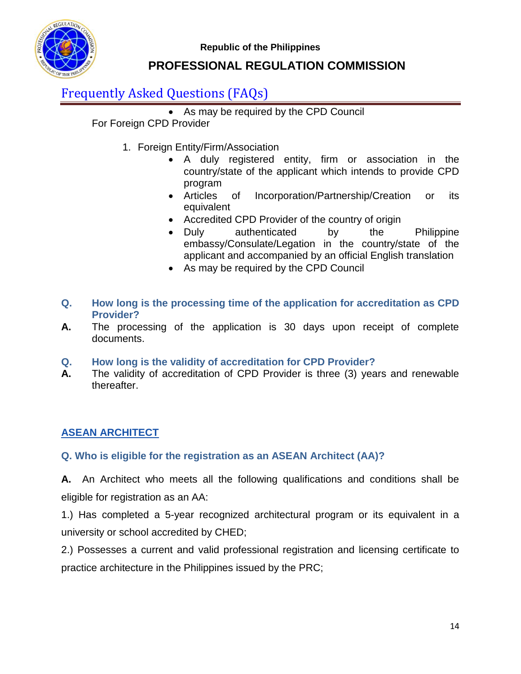

## **PROFESSIONAL REGULATION COMMISSION**

## Frequently Asked Questions (FAQs)

• As may be required by the CPD Council

For Foreign CPD Provider

- 1. Foreign Entity/Firm/Association
	- A duly registered entity, firm or association in the country/state of the applicant which intends to provide CPD program
	- Articles of Incorporation/Partnership/Creation or its equivalent
	- Accredited CPD Provider of the country of origin
	- Duly authenticated by the Philippine embassy/Consulate/Legation in the country/state of the applicant and accompanied by an official English translation
	- As may be required by the CPD Council
- **Q. How long is the processing time of the application for accreditation as CPD Provider?**
- **A.** The processing of the application is 30 days upon receipt of complete documents.
- **Q. How long is the validity of accreditation for CPD Provider?**
- **A.** The validity of accreditation of CPD Provider is three (3) years and renewable thereafter.

## **ASEAN ARCHITECT**

### **Q. Who is eligible for the registration as an ASEAN Architect (AA)?**

**A.** An Architect who meets all the following qualifications and conditions shall be eligible for registration as an AA:

1.) Has completed a 5-year recognized architectural program or its equivalent in a university or school accredited by CHED;

2.) Possesses a current and valid professional registration and licensing certificate to practice architecture in the Philippines issued by the PRC;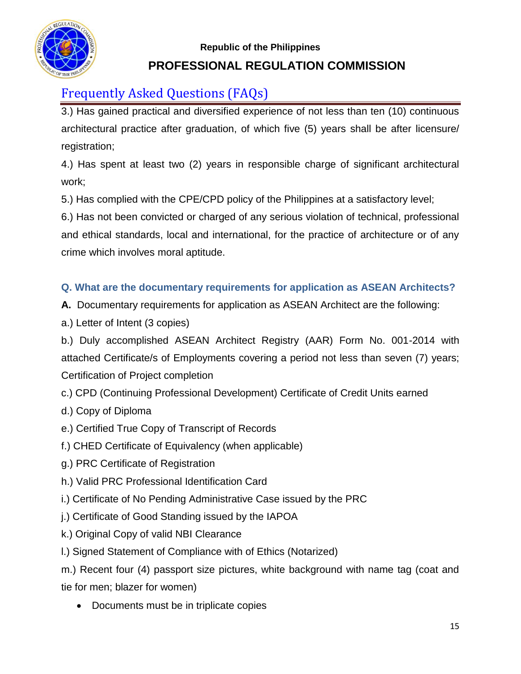

# Frequently Asked Questions (FAQs)

3.) Has gained practical and diversified experience of not less than ten (10) continuous architectural practice after graduation, of which five (5) years shall be after licensure/ registration;

4.) Has spent at least two (2) years in responsible charge of significant architectural work;

5.) Has complied with the CPE/CPD policy of the Philippines at a satisfactory level;

6.) Has not been convicted or charged of any serious violation of technical, professional and ethical standards, local and international, for the practice of architecture or of any crime which involves moral aptitude.

## **Q. What are the documentary requirements for application as ASEAN Architects?**

- **A.** Documentary requirements for application as ASEAN Architect are the following:
- a.) Letter of Intent (3 copies)

b.) Duly accomplished ASEAN Architect Registry (AAR) Form No. 001-2014 with attached Certificate/s of Employments covering a period not less than seven (7) years; Certification of Project completion

c.) CPD (Continuing Professional Development) Certificate of Credit Units earned

- d.) Copy of Diploma
- e.) Certified True Copy of Transcript of Records
- f.) CHED Certificate of Equivalency (when applicable)
- g.) PRC Certificate of Registration
- h.) Valid PRC Professional Identification Card
- i.) Certificate of No Pending Administrative Case issued by the PRC
- j.) Certificate of Good Standing issued by the IAPOA
- k.) Original Copy of valid NBI Clearance
- l.) Signed Statement of Compliance with of Ethics (Notarized)

m.) Recent four (4) passport size pictures, white background with name tag (coat and tie for men; blazer for women)

• Documents must be in triplicate copies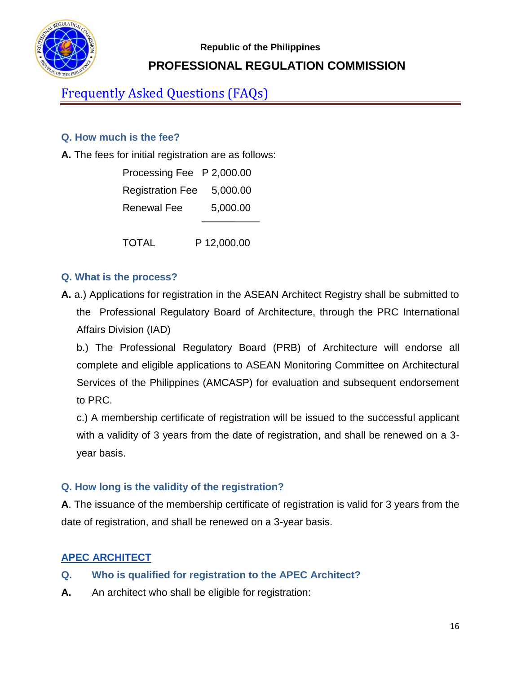

# Frequently Asked Questions (FAQs)

## **Q. How much is the fee?**

**A.** The fees for initial registration are as follows:

| Processing Fee P 2,000.00 |          |
|---------------------------|----------|
| <b>Registration Fee</b>   | 5,000.00 |
| <b>Renewal Fee</b>        | 5,000.00 |

TOTAL P 12,000.00

### **Q. What is the process?**

**A.** a.) Applications for registration in the ASEAN Architect Registry shall be submitted to the Professional Regulatory Board of Architecture, through the PRC International Affairs Division (IAD)

b.) The Professional Regulatory Board (PRB) of Architecture will endorse all complete and eligible applications to ASEAN Monitoring Committee on Architectural Services of the Philippines (AMCASP) for evaluation and subsequent endorsement to PRC.

c.) A membership certificate of registration will be issued to the successful applicant with a validity of 3 years from the date of registration, and shall be renewed on a 3 year basis.

## **Q. How long is the validity of the registration?**

**A**. The issuance of the membership certificate of registration is valid for 3 years from the date of registration, and shall be renewed on a 3-year basis.

## **APEC ARCHITECT**

- **Q. Who is qualified for registration to the APEC Architect?**
- **A.** An architect who shall be eligible for registration: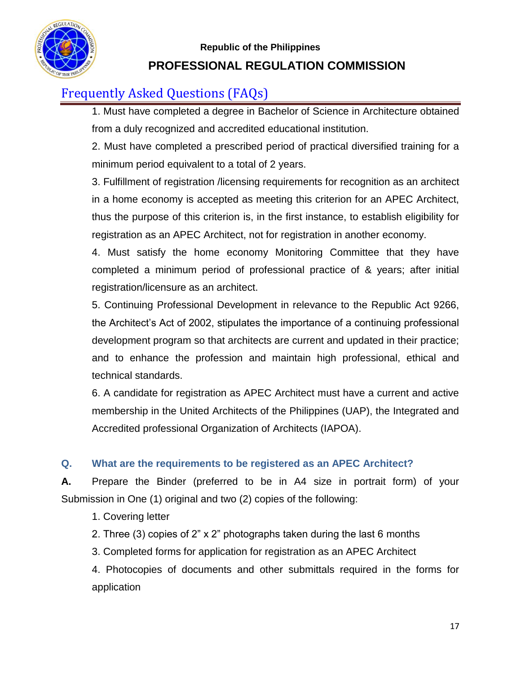

# Frequently Asked Questions (FAQs)

1. Must have completed a degree in Bachelor of Science in Architecture obtained from a duly recognized and accredited educational institution.

2. Must have completed a prescribed period of practical diversified training for a minimum period equivalent to a total of 2 years.

3. Fulfillment of registration /licensing requirements for recognition as an architect in a home economy is accepted as meeting this criterion for an APEC Architect, thus the purpose of this criterion is, in the first instance, to establish eligibility for registration as an APEC Architect, not for registration in another economy.

4. Must satisfy the home economy Monitoring Committee that they have completed a minimum period of professional practice of & years; after initial registration/licensure as an architect.

5. Continuing Professional Development in relevance to the Republic Act 9266, the Architect's Act of 2002, stipulates the importance of a continuing professional development program so that architects are current and updated in their practice; and to enhance the profession and maintain high professional, ethical and technical standards.

6. A candidate for registration as APEC Architect must have a current and active membership in the United Architects of the Philippines (UAP), the Integrated and Accredited professional Organization of Architects (IAPOA).

## **Q. What are the requirements to be registered as an APEC Architect?**

**A.** Prepare the Binder (preferred to be in A4 size in portrait form) of your Submission in One (1) original and two (2) copies of the following:

1. Covering letter

2. Three (3) copies of 2" x 2" photographs taken during the last 6 months

3. Completed forms for application for registration as an APEC Architect

4. Photocopies of documents and other submittals required in the forms for application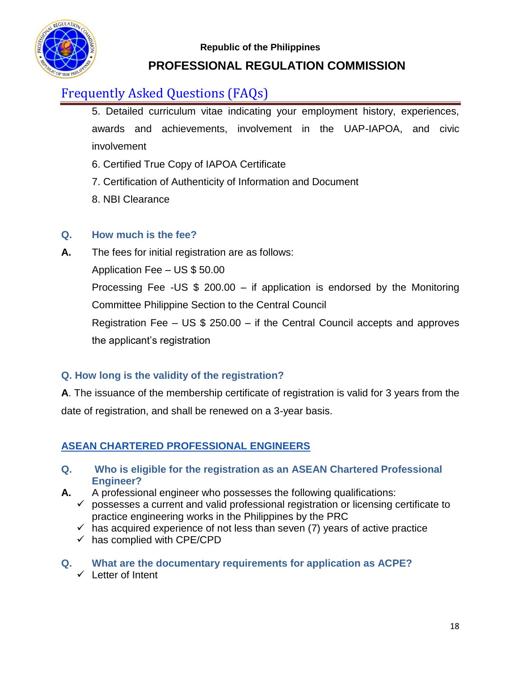

# Frequently Asked Questions (FAQs)

- 5. Detailed curriculum vitae indicating your employment history, experiences, awards and achievements, involvement in the UAP-IAPOA, and civic involvement
- 6. Certified True Copy of IAPOA Certificate
- 7. Certification of Authenticity of Information and Document
- 8. NBI Clearance

## **Q. How much is the fee?**

**A.** The fees for initial registration are as follows:

Application Fee – US \$ 50.00

Processing Fee -US \$ 200.00 – if application is endorsed by the Monitoring Committee Philippine Section to the Central Council

Registration Fee – US \$ 250.00 – if the Central Council accepts and approves the applicant's registration

## **Q. How long is the validity of the registration?**

**A**. The issuance of the membership certificate of registration is valid for 3 years from the date of registration, and shall be renewed on a 3-year basis.

## **ASEAN CHARTERED PROFESSIONAL ENGINEERS**

- **Q. Who is eligible for the registration as an ASEAN Chartered Professional Engineer?**
- **A.** A professional engineer who possesses the following qualifications:
	- $\checkmark$  possesses a current and valid professional registration or licensing certificate to practice engineering works in the Philippines by the PRC
	- $\checkmark$  has acquired experience of not less than seven (7) years of active practice
	- $\checkmark$  has complied with CPE/CPD

#### **Q. What are the documentary requirements for application as ACPE?**

 $\checkmark$  Letter of Intent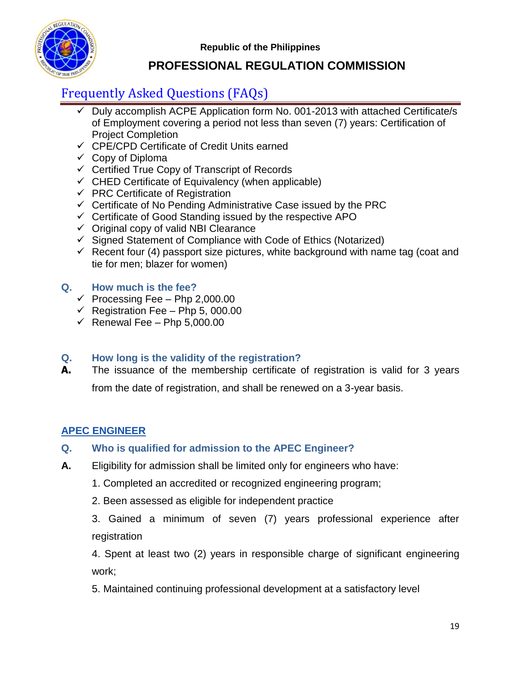

## **PROFESSIONAL REGULATION COMMISSION**

# Frequently Asked Questions (FAQs)

- $\checkmark$  Duly accomplish ACPE Application form No. 001-2013 with attached Certificate/s of Employment covering a period not less than seven (7) years: Certification of Project Completion
- $\checkmark$  CPE/CPD Certificate of Credit Units earned
- $\checkmark$  Copy of Diploma
- $\checkmark$  Certified True Copy of Transcript of Records
- $\checkmark$  CHED Certificate of Equivalency (when applicable)
- $\checkmark$  PRC Certificate of Registration
- $\checkmark$  Certificate of No Pending Administrative Case issued by the PRC
- $\checkmark$  Certificate of Good Standing issued by the respective APO
- $\checkmark$  Original copy of valid NBI Clearance
- $\checkmark$  Signed Statement of Compliance with Code of Ethics (Notarized)
- $\checkmark$  Recent four (4) passport size pictures, white background with name tag (coat and tie for men; blazer for women)

#### **Q. How much is the fee?**

- $\checkmark$  Processing Fee Php 2,000.00
- $\checkmark$  Registration Fee Php 5, 000.00
- $\checkmark$  Renewal Fee Php 5,000.00

### **Q. How long is the validity of the registration?**

**A.** The issuance of the membership certificate of registration is valid for 3 years from the date of registration, and shall be renewed on a 3-year basis.

### **APEC ENGINEER**

- **Q. Who is qualified for admission to the APEC Engineer?**
- **A.** Eligibility for admission shall be limited only for engineers who have:
	- 1. Completed an accredited or recognized engineering program;
	- 2. Been assessed as eligible for independent practice
	- 3. Gained a minimum of seven (7) years professional experience after registration

4. Spent at least two (2) years in responsible charge of significant engineering work;

5. Maintained continuing professional development at a satisfactory level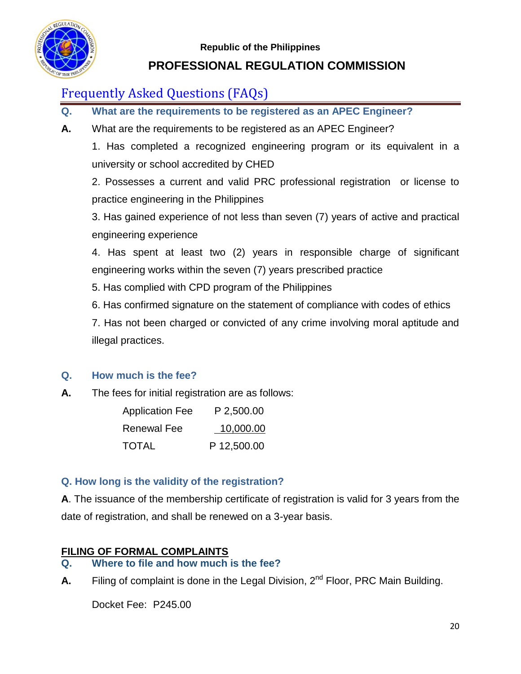

# Frequently Asked Questions (FAQs)

- **Q. What are the requirements to be registered as an APEC Engineer?**
- **A.** What are the requirements to be registered as an APEC Engineer?

1. Has completed a recognized engineering program or its equivalent in a university or school accredited by CHED

2. Possesses a current and valid PRC professional registration or license to practice engineering in the Philippines

3. Has gained experience of not less than seven (7) years of active and practical engineering experience

4. Has spent at least two (2) years in responsible charge of significant engineering works within the seven (7) years prescribed practice

- 5. Has complied with CPD program of the Philippines
- 6. Has confirmed signature on the statement of compliance with codes of ethics

7. Has not been charged or convicted of any crime involving moral aptitude and illegal practices.

### **Q. How much is the fee?**

**A.** The fees for initial registration are as follows:

| <b>Application Fee</b> | P 2,500.00  |
|------------------------|-------------|
| <b>Renewal Fee</b>     | 10,000.00   |
| TOTAL                  | P 12,500.00 |

### **Q. How long is the validity of the registration?**

**A**. The issuance of the membership certificate of registration is valid for 3 years from the date of registration, and shall be renewed on a 3-year basis.

### **FILING OF FORMAL COMPLAINTS**

- **Q. Where to file and how much is the fee?**
- **A.** Filing of complaint is done in the Legal Division, 2<sup>nd</sup> Floor, PRC Main Building.

Docket Fee: P245.00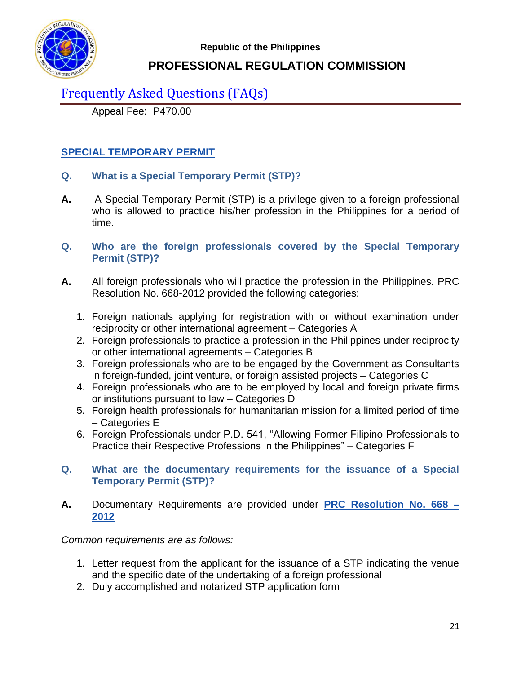

## **PROFESSIONAL REGULATION COMMISSION**

## Frequently Asked Questions (FAQs)

Appeal Fee: P470.00

### **SPECIAL TEMPORARY PERMIT**

- **Q. What is a Special Temporary Permit (STP)?**
- **A.** A Special Temporary Permit (STP) is a privilege given to a foreign professional who is allowed to practice his/her profession in the Philippines for a period of time.
- **Q. Who are the foreign professionals covered by the Special Temporary Permit (STP)?**
- **A.** All foreign professionals who will practice the profession in the Philippines. PRC Resolution No. 668-2012 provided the following categories:
	- 1. Foreign nationals applying for registration with or without examination under reciprocity or other international agreement – Categories A
	- 2. Foreign professionals to practice a profession in the Philippines under reciprocity or other international agreements – Categories B
	- 3. Foreign professionals who are to be engaged by the Government as Consultants in foreign-funded, joint venture, or foreign assisted projects – Categories C
	- 4. Foreign professionals who are to be employed by local and foreign private firms or institutions pursuant to law – Categories D
	- 5. Foreign health professionals for humanitarian mission for a limited period of time – Categories E
	- 6. Foreign Professionals under P.D. 541, "Allowing Former Filipino Professionals to Practice their Respective Professions in the Philippines" – Categories F

#### **Q. What are the documentary requirements for the issuance of a Special Temporary Permit (STP)?**

**A.** Documentary Requirements are provided under **PRC Resolution No. 668 – 2012**

*Common requirements are as follows:*

- 1. Letter request from the applicant for the issuance of a STP indicating the venue and the specific date of the undertaking of a foreign professional
- 2. Duly accomplished and notarized STP application form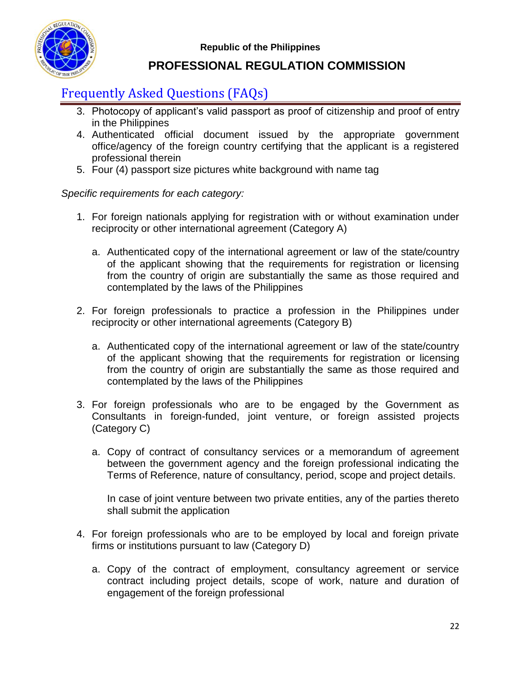

## **PROFESSIONAL REGULATION COMMISSION**

## Frequently Asked Questions (FAQs)

- 3. Photocopy of applicant's valid passport as proof of citizenship and proof of entry in the Philippines
- 4. Authenticated official document issued by the appropriate government office/agency of the foreign country certifying that the applicant is a registered professional therein
- 5. Four (4) passport size pictures white background with name tag

#### *Specific requirements for each category:*

- 1. For foreign nationals applying for registration with or without examination under reciprocity or other international agreement (Category A)
	- a. Authenticated copy of the international agreement or law of the state/country of the applicant showing that the requirements for registration or licensing from the country of origin are substantially the same as those required and contemplated by the laws of the Philippines
- 2. For foreign professionals to practice a profession in the Philippines under reciprocity or other international agreements (Category B)
	- a. Authenticated copy of the international agreement or law of the state/country of the applicant showing that the requirements for registration or licensing from the country of origin are substantially the same as those required and contemplated by the laws of the Philippines
- 3. For foreign professionals who are to be engaged by the Government as Consultants in foreign-funded, joint venture, or foreign assisted projects (Category C)
	- a. Copy of contract of consultancy services or a memorandum of agreement between the government agency and the foreign professional indicating the Terms of Reference, nature of consultancy, period, scope and project details.

In case of joint venture between two private entities, any of the parties thereto shall submit the application

- 4. For foreign professionals who are to be employed by local and foreign private firms or institutions pursuant to law (Category D)
	- a. Copy of the contract of employment, consultancy agreement or service contract including project details, scope of work, nature and duration of engagement of the foreign professional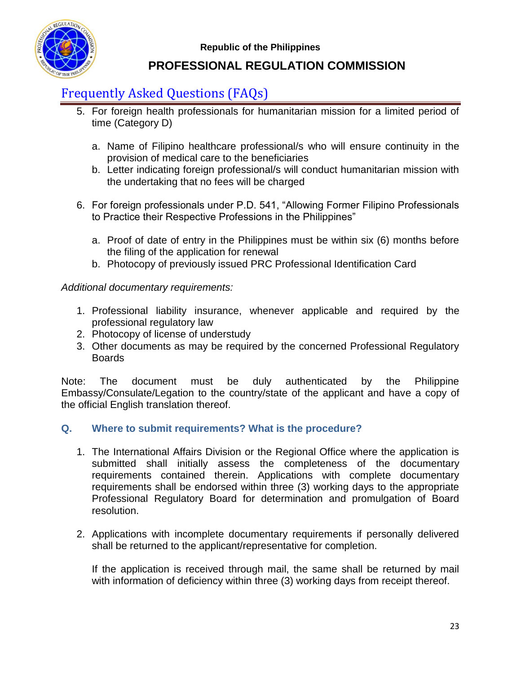

## **PROFESSIONAL REGULATION COMMISSION**

## Frequently Asked Questions (FAQs)

- 5. For foreign health professionals for humanitarian mission for a limited period of time (Category D)
	- a. Name of Filipino healthcare professional/s who will ensure continuity in the provision of medical care to the beneficiaries
	- b. Letter indicating foreign professional/s will conduct humanitarian mission with the undertaking that no fees will be charged
- 6. For foreign professionals under P.D. 541, "Allowing Former Filipino Professionals to Practice their Respective Professions in the Philippines"
	- a. Proof of date of entry in the Philippines must be within six (6) months before the filing of the application for renewal
	- b. Photocopy of previously issued PRC Professional Identification Card

#### *Additional documentary requirements:*

- 1. Professional liability insurance, whenever applicable and required by the professional regulatory law
- 2. Photocopy of license of understudy
- 3. Other documents as may be required by the concerned Professional Regulatory Boards

Note: The document must be duly authenticated by the Philippine Embassy/Consulate/Legation to the country/state of the applicant and have a copy of the official English translation thereof.

#### **Q. Where to submit requirements? What is the procedure?**

- 1. The International Affairs Division or the Regional Office where the application is submitted shall initially assess the completeness of the documentary requirements contained therein. Applications with complete documentary requirements shall be endorsed within three (3) working days to the appropriate Professional Regulatory Board for determination and promulgation of Board resolution.
- 2. Applications with incomplete documentary requirements if personally delivered shall be returned to the applicant/representative for completion.

If the application is received through mail, the same shall be returned by mail with information of deficiency within three (3) working days from receipt thereof.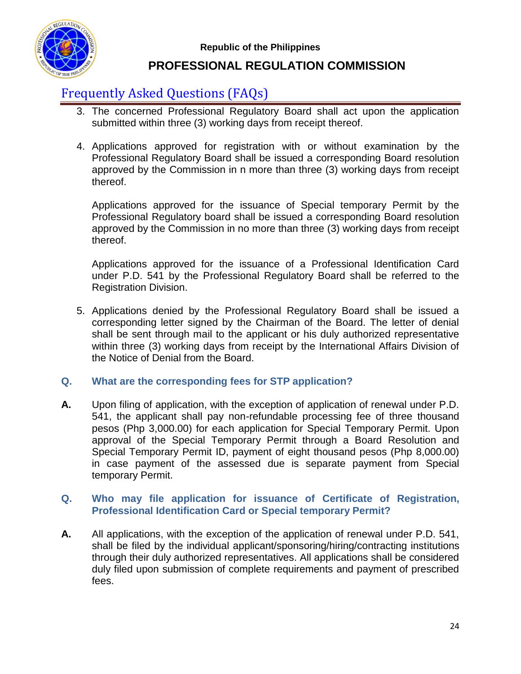

## **PROFESSIONAL REGULATION COMMISSION**

## Frequently Asked Questions (FAQs)

- 3. The concerned Professional Regulatory Board shall act upon the application submitted within three (3) working days from receipt thereof.
- 4. Applications approved for registration with or without examination by the Professional Regulatory Board shall be issued a corresponding Board resolution approved by the Commission in n more than three (3) working days from receipt thereof.

Applications approved for the issuance of Special temporary Permit by the Professional Regulatory board shall be issued a corresponding Board resolution approved by the Commission in no more than three (3) working days from receipt thereof.

Applications approved for the issuance of a Professional Identification Card under P.D. 541 by the Professional Regulatory Board shall be referred to the Registration Division.

5. Applications denied by the Professional Regulatory Board shall be issued a corresponding letter signed by the Chairman of the Board. The letter of denial shall be sent through mail to the applicant or his duly authorized representative within three (3) working days from receipt by the International Affairs Division of the Notice of Denial from the Board.

#### **Q. What are the corresponding fees for STP application?**

**A.** Upon filing of application, with the exception of application of renewal under P.D. 541, the applicant shall pay non-refundable processing fee of three thousand pesos (Php 3,000.00) for each application for Special Temporary Permit. Upon approval of the Special Temporary Permit through a Board Resolution and Special Temporary Permit ID, payment of eight thousand pesos (Php 8,000.00) in case payment of the assessed due is separate payment from Special temporary Permit.

#### **Q. Who may file application for issuance of Certificate of Registration, Professional Identification Card or Special temporary Permit?**

**A.** All applications, with the exception of the application of renewal under P.D. 541, shall be filed by the individual applicant/sponsoring/hiring/contracting institutions through their duly authorized representatives. All applications shall be considered duly filed upon submission of complete requirements and payment of prescribed fees.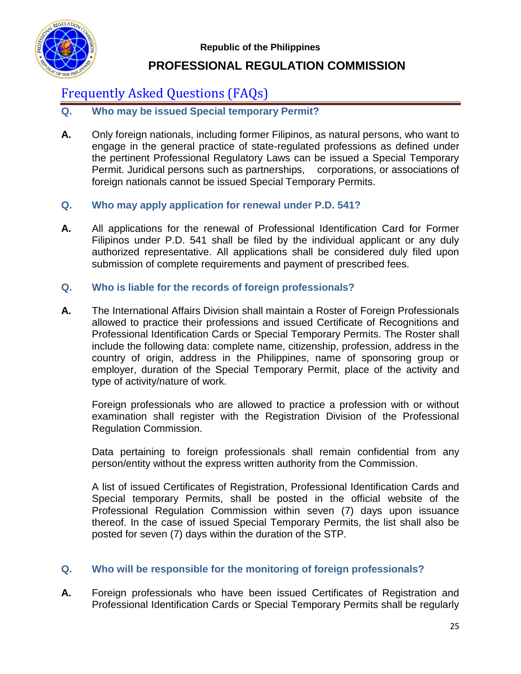

## **PROFESSIONAL REGULATION COMMISSION**

## Frequently Asked Questions (FAQs)

#### **Q. Who may be issued Special temporary Permit?**

- **A.** Only foreign nationals, including former Filipinos, as natural persons, who want to engage in the general practice of state-regulated professions as defined under the pertinent Professional Regulatory Laws can be issued a Special Temporary Permit. Juridical persons such as partnerships, corporations, or associations of foreign nationals cannot be issued Special Temporary Permits.
- **Q. Who may apply application for renewal under P.D. 541?**
- **A.** All applications for the renewal of Professional Identification Card for Former Filipinos under P.D. 541 shall be filed by the individual applicant or any duly authorized representative. All applications shall be considered duly filed upon submission of complete requirements and payment of prescribed fees.
- **Q. Who is liable for the records of foreign professionals?**
- **A.** The International Affairs Division shall maintain a Roster of Foreign Professionals allowed to practice their professions and issued Certificate of Recognitions and Professional Identification Cards or Special Temporary Permits. The Roster shall include the following data: complete name, citizenship, profession, address in the country of origin, address in the Philippines, name of sponsoring group or employer, duration of the Special Temporary Permit, place of the activity and type of activity/nature of work.

Foreign professionals who are allowed to practice a profession with or without examination shall register with the Registration Division of the Professional Regulation Commission.

Data pertaining to foreign professionals shall remain confidential from any person/entity without the express written authority from the Commission.

A list of issued Certificates of Registration, Professional Identification Cards and Special temporary Permits, shall be posted in the official website of the Professional Regulation Commission within seven (7) days upon issuance thereof. In the case of issued Special Temporary Permits, the list shall also be posted for seven (7) days within the duration of the STP.

#### **Q. Who will be responsible for the monitoring of foreign professionals?**

**A.** Foreign professionals who have been issued Certificates of Registration and Professional Identification Cards or Special Temporary Permits shall be regularly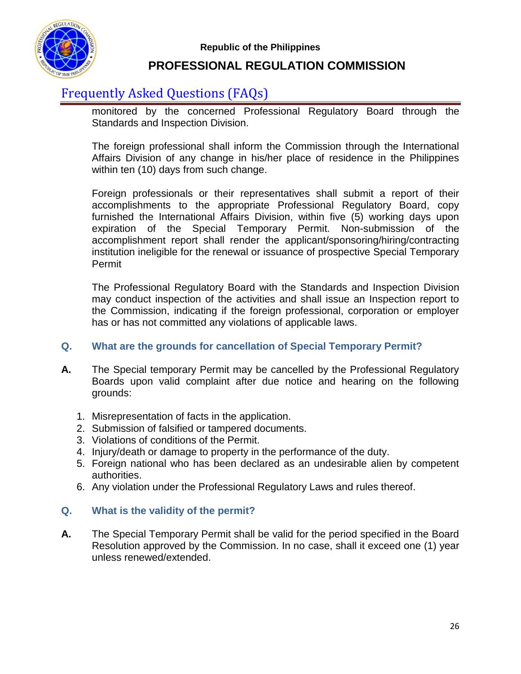

## **PROFESSIONAL REGULATION COMMISSION**

## Frequently Asked Questions (FAQs)

monitored by the concerned Professional Regulatory Board through the Standards and Inspection Division.

The foreign professional shall inform the Commission through the International Affairs Division of any change in his/her place of residence in the Philippines within ten (10) days from such change.

Foreign professionals or their representatives shall submit a report of their accomplishments to the appropriate Professional Regulatory Board, copy furnished the International Affairs Division, within five (5) working days upon expiration of the Special Temporary Permit. Non-submission of the accomplishment report shall render the applicant/sponsoring/hiring/contracting institution ineligible for the renewal or issuance of prospective Special Temporary Permit

The Professional Regulatory Board with the Standards and Inspection Division may conduct inspection of the activities and shall issue an Inspection report to the Commission, indicating if the foreign professional, corporation or employer has or has not committed any violations of applicable laws.

#### **Q. What are the grounds for cancellation of Special Temporary Permit?**

- **A.** The Special temporary Permit may be cancelled by the Professional Regulatory Boards upon valid complaint after due notice and hearing on the following grounds:
	- 1. Misrepresentation of facts in the application.
	- 2. Submission of falsified or tampered documents.
	- 3. Violations of conditions of the Permit.
	- 4. Injury/death or damage to property in the performance of the duty.
	- 5. Foreign national who has been declared as an undesirable alien by competent authorities.
	- 6. Any violation under the Professional Regulatory Laws and rules thereof.

#### **Q. What is the validity of the permit?**

**A.** The Special Temporary Permit shall be valid for the period specified in the Board Resolution approved by the Commission. In no case, shall it exceed one (1) year unless renewed/extended.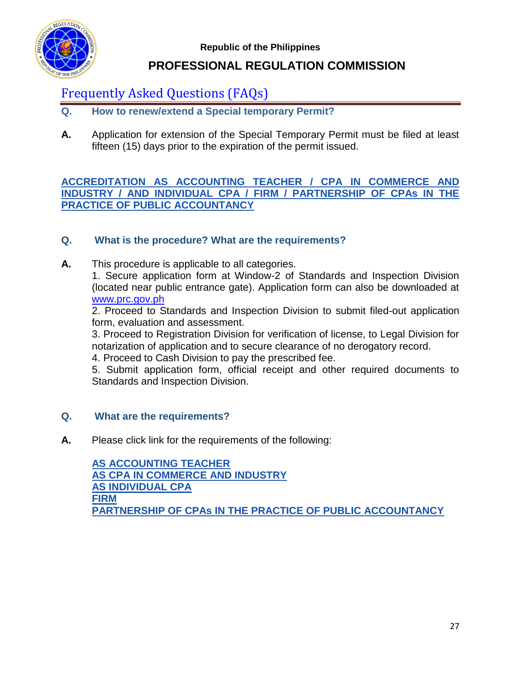

## **PROFESSIONAL REGULATION COMMISSION**

# Frequently Asked Questions (FAQs)

- **Q. How to renew/extend a Special temporary Permit?**
- **A.** Application for extension of the Special Temporary Permit must be filed at least fifteen (15) days prior to the expiration of the permit issued.

#### **ACCREDITATION AS ACCOUNTING TEACHER / CPA IN COMMERCE AND INDUSTRY / AND INDIVIDUAL CPA / FIRM / PARTNERSHIP OF CPAs IN THE PRACTICE OF PUBLIC ACCOUNTANCY**

#### **Q. What is the procedure? What are the requirements?**

**A.** This procedure is applicable to all categories. 1. Secure application form at Window-2 of Standards and Inspection Division (located near public entrance gate). Application form can also be downloaded at [www.prc.gov.ph](http://www.prc.gov.ph/)

2. Proceed to Standards and Inspection Division to submit filed-out application form, evaluation and assessment.

3. Proceed to Registration Division for verification of license, to Legal Division for notarization of application and to secure clearance of no derogatory record.

4. Proceed to Cash Division to pay the prescribed fee.

5. Submit application form, official receipt and other required documents to Standards and Inspection Division.

#### **Q. What are the requirements?**

**A.** Please click link for the requirements of the following:

**AS ACCOUNTING TEACHER AS CPA IN COMMERCE AND INDUSTRY AS INDIVIDUAL CPA FIRM PARTNERSHIP OF CPAs IN THE PRACTICE OF PUBLIC ACCOUNTANCY**